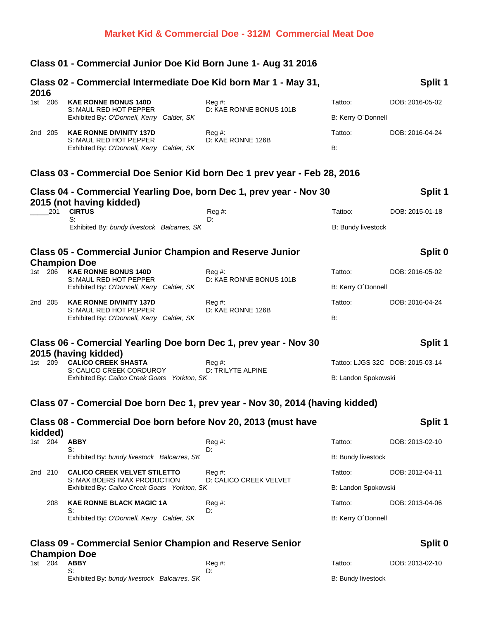# **Class 01 - Commercial Junior Doe Kid Born June 1- Aug 31 2016**

| 2016               | Class 02 - Commercial Intermediate Doe Kid born Mar 1 - May 31,                                                     |                                  |                           | Split 1                          |
|--------------------|---------------------------------------------------------------------------------------------------------------------|----------------------------------|---------------------------|----------------------------------|
| 1st 206            | <b>KAE RONNE BONUS 140D</b>                                                                                         | Reg#                             | Tattoo:                   | DOB: 2016-05-02                  |
|                    | S: MAUL RED HOT PEPPER<br>Exhibited By: O'Donnell, Kerry Calder, SK                                                 | D: KAE RONNE BONUS 101B          | B: Kerry O'Donnell        |                                  |
| 2nd 205            | <b>KAE RONNE DIVINITY 137D</b>                                                                                      | $Reg#$ :<br>D: KAE RONNE 126B    | Tattoo:                   | DOB: 2016-04-24                  |
|                    | S: MAUL RED HOT PEPPER<br>Exhibited By: O'Donnell, Kerry Calder, SK                                                 |                                  | <b>B:</b>                 |                                  |
|                    | Class 03 - Commercial Doe Senior Kid born Dec 1 prev year - Feb 28, 2016                                            |                                  |                           |                                  |
|                    | Class 04 - Commercial Yearling Doe, born Dec 1, prev year - Nov 30                                                  |                                  |                           | Split 1                          |
| 201                | 2015 (not having kidded)<br><b>CIRTUS</b>                                                                           | Reg #:                           | Tattoo:                   | DOB: 2015-01-18                  |
|                    | S:<br>Exhibited By: bundy livestock Balcarres, SK                                                                   | D:                               |                           |                                  |
|                    |                                                                                                                     |                                  | <b>B: Bundy livestock</b> |                                  |
|                    | <b>Class 05 - Commercial Junior Champion and Reserve Junior</b>                                                     |                                  |                           | Split 0                          |
| 1st 206            | <b>Champion Doe</b><br><b>KAE RONNE BONUS 140D</b>                                                                  | $Reg#$ :                         | Tattoo:                   | DOB: 2016-05-02                  |
|                    | S: MAUL RED HOT PEPPER<br>Exhibited By: O'Donnell, Kerry Calder, SK                                                 | D: KAE RONNE BONUS 101B          | B: Kerry O'Donnell        |                                  |
| 2nd 205            | <b>KAE RONNE DIVINITY 137D</b><br>S: MAUL RED HOT PEPPER<br>Exhibited By: O'Donnell, Kerry Calder, SK               | $Reg#$ :<br>D: KAE RONNE 126B    | Tattoo:                   | DOB: 2016-04-24                  |
|                    |                                                                                                                     |                                  | <b>B:</b>                 |                                  |
|                    | Class 06 - Comercial Yearling Doe born Dec 1, prev year - Nov 30                                                    |                                  |                           | Split 1                          |
| 1st 209            | 2015 (having kidded)<br><b>CALICO CREEK SHASTA</b>                                                                  | $Reg#$ :                         |                           | Tattoo: LJGS 32C DOB: 2015-03-14 |
|                    | S: CALICO CREEK CORDUROY<br>Exhibited By: Calico Creek Goats Yorkton, SK                                            | D: TRILYTE ALPINE                | B: Landon Spokowski       |                                  |
|                    | Class 07 - Comercial Doe born Dec 1, prev year - Nov 30, 2014 (having kidded)                                       |                                  |                           |                                  |
|                    | Class 08 - Commercial Doe born before Nov 20, 2013 (must have                                                       |                                  |                           | Split 1                          |
| kidded)<br>1st 204 | <b>ABBY</b>                                                                                                         | Reg#                             | Tattoo:                   | DOB: 2013-02-10                  |
|                    | S:<br>Exhibited By: bundy livestock Balcarres, SK                                                                   | D:                               | <b>B: Bundy livestock</b> |                                  |
| 2nd 210            | <b>CALICO CREEK VELVET STILETTO</b><br>S: MAX BOERS IMAX PRODUCTION<br>Exhibited By: Calico Creek Goats Yorkton, SK | Reg #:<br>D: CALICO CREEK VELVET | Tattoo:                   | DOB: 2012-04-11                  |
|                    |                                                                                                                     |                                  | B: Landon Spokowski       |                                  |
|                    |                                                                                                                     |                                  |                           |                                  |
| 208                | <b>KAE RONNE BLACK MAGIC 1A</b>                                                                                     | Reg#                             | Tattoo:                   | DOB: 2013-04-06                  |
|                    | S:<br>Exhibited By: O'Donnell, Kerry Calder, SK                                                                     | D:                               | B: Kerry O'Donnell        |                                  |
|                    | <b>Class 09 - Commercial Senior Champion and Reserve Senior</b>                                                     |                                  |                           |                                  |
| 204<br>1st l       | <b>Champion Doe</b>                                                                                                 |                                  | Tattoo:                   | Split 0<br>DOB: 2013-02-10       |
|                    | <b>ABBY</b><br>S:<br>Exhibited By: bundy livestock Balcarres, SK                                                    | Reg#<br>D:                       | <b>B: Bundy livestock</b> |                                  |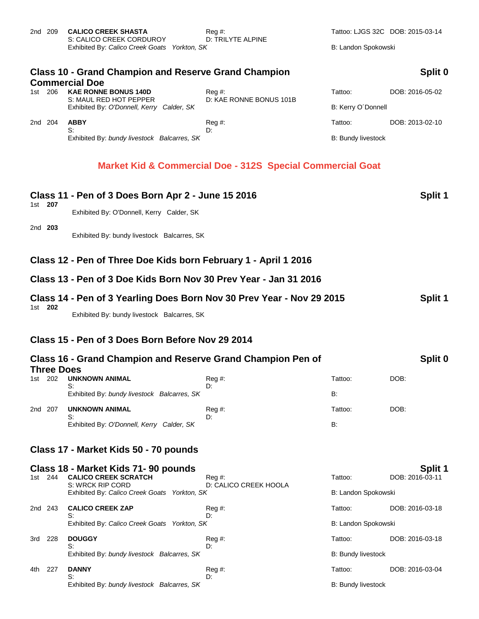| 2nd  | 209                                                                                             | <b>CALICO CREEK SHASTA</b><br>S: CALICO CREEK CORDUROY<br>Exhibited By: Calico Creek Goats Yorkton, SK | $\text{Re}q \#$ :<br>D: TRILYTE ALPINE      | Tattoo: LJGS 32C DOB: 2015-03-14<br>B: Landon Spokowski |                 |  |
|------|-------------------------------------------------------------------------------------------------|--------------------------------------------------------------------------------------------------------|---------------------------------------------|---------------------------------------------------------|-----------------|--|
|      | <b>Class 10 - Grand Champion and Reserve Grand Champion</b><br>Split 0<br><b>Commercial Doe</b> |                                                                                                        |                                             |                                                         |                 |  |
| 1st. | 206                                                                                             | <b>KAE RONNE BONUS 140D</b><br>S: MAUL RED HOT PEPPER<br>Exhibited By: O'Donnell, Kerry Calder, SK     | $\text{Req }#$ :<br>D: KAE RONNE BONUS 101B | Tattoo:                                                 | DOB: 2016-05-02 |  |
|      |                                                                                                 |                                                                                                        |                                             | B: Kerry O'Donnell                                      |                 |  |
| 2nd  | 204                                                                                             | <b>ABBY</b>                                                                                            | $\text{Re}q \#$ :                           | Tattoo:                                                 | DOB: 2013-02-10 |  |
|      |                                                                                                 | S:<br>Exhibited By: bundy livestock Balcarres, SK                                                      | D:                                          | <b>B: Bundy livestock</b>                               |                 |  |

## **Market Kid & Commercial Doe - 312S Special Commercial Goat**

| 1st 207 |                   | Class 11 - Pen of 3 Does Born Apr 2 - June 15 2016<br>Exhibited By: O'Donnell, Kerry Calder, SK |                               |                           | Split 1         |
|---------|-------------------|-------------------------------------------------------------------------------------------------|-------------------------------|---------------------------|-----------------|
| 2nd 203 |                   | Exhibited By: bundy livestock Balcarres, SK                                                     |                               |                           |                 |
|         |                   | Class 12 - Pen of Three Doe Kids born February 1 - April 1 2016                                 |                               |                           |                 |
|         |                   | Class 13 - Pen of 3 Doe Kids Born Nov 30 Prev Year - Jan 31 2016                                |                               |                           |                 |
| 1st 202 |                   | Class 14 - Pen of 3 Yearling Does Born Nov 30 Prev Year - Nov 29 2015                           |                               |                           | Split 1         |
|         |                   | Exhibited By: bundy livestock Balcarres, SK                                                     |                               |                           |                 |
|         |                   | Class 15 - Pen of 3 Does Born Before Nov 29 2014                                                |                               |                           |                 |
|         |                   | Class 16 - Grand Champion and Reserve Grand Champion Pen of                                     |                               |                           | Split 0         |
| 1st 202 | <b>Three Does</b> | <b>UNKNOWN ANIMAL</b>                                                                           | Reg#                          | Tattoo:                   | DOB:            |
|         |                   | S:<br>Exhibited By: bundy livestock Balcarres, SK                                               | D:                            | <b>B:</b>                 |                 |
| 2nd 207 |                   | <b>UNKNOWN ANIMAL</b><br>S:                                                                     | $Reg#$ :<br>D:                | Tattoo:                   | DOB:            |
|         |                   | Exhibited By: O'Donnell, Kerry Calder, SK                                                       |                               | <b>B:</b>                 |                 |
|         |                   | Class 17 - Market Kids 50 - 70 pounds                                                           |                               |                           |                 |
|         |                   | Class 18 - Market Kids 71-90 pounds                                                             |                               |                           | Split 1         |
| 1st 244 |                   | <b>CALICO CREEK SCRATCH</b><br>S: WRCK RIP CORD                                                 | Reg#<br>D: CALICO CREEK HOOLA | Tattoo:                   | DOB: 2016-03-11 |
|         |                   | Exhibited By: Calico Creek Goats Yorkton, SK                                                    |                               | B: Landon Spokowski       |                 |
| 2nd 243 |                   | <b>CALICO CREEK ZAP</b><br>S:                                                                   | Reg#<br>D:                    | Tattoo:                   | DOB: 2016-03-18 |
|         |                   | Exhibited By: Calico Creek Goats Yorkton, SK                                                    |                               | B: Landon Spokowski       |                 |
| 3rd 228 |                   | <b>DOUGGY</b><br>S:                                                                             | Reg#<br>D:                    | Tattoo:                   | DOB: 2016-03-18 |
|         |                   | Exhibited By: bundy livestock Balcarres, SK                                                     |                               | <b>B: Bundy livestock</b> |                 |
| 4th     | 227               | <b>DANNY</b><br>S:                                                                              | Reg#<br>D:                    | Tattoo:                   | DOB: 2016-03-04 |
|         |                   | Exhibited By: bundy livestock Balcarres, SK                                                     |                               | <b>B: Bundy livestock</b> |                 |